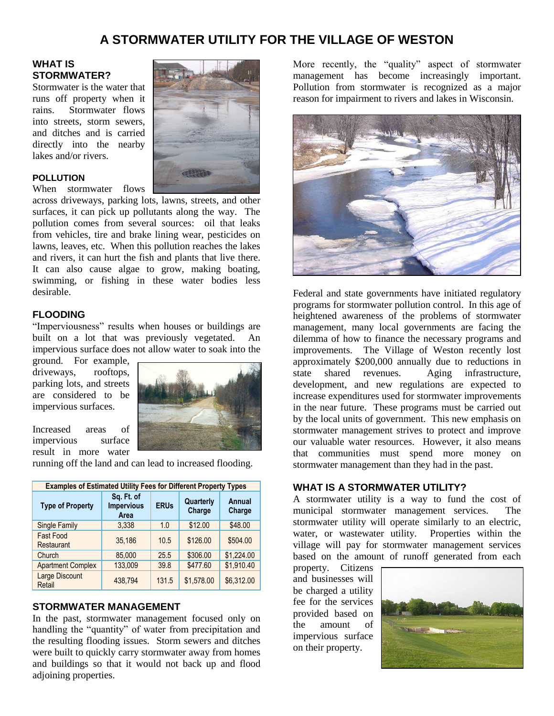# **A STORMWATER UTILITY FOR THE VILLAGE OF WESTON**

# **WHAT IS STORMWATER?**

Stormwater is the water that runs off property when it rains. Stormwater flows into streets, storm sewers, and ditches and is carried directly into the nearby lakes and/or rivers.

#### **POLLUTION**

When stormwater flows

across driveways, parking lots, lawns, streets, and other surfaces, it can pick up pollutants along the way. The pollution comes from several sources: oil that leaks from vehicles, tire and brake lining wear, pesticides on lawns, leaves, etc. When this pollution reaches the lakes and rivers, it can hurt the fish and plants that live there. It can also cause algae to grow, making boating, swimming, or fishing in these water bodies less desirable.

### **FLOODING**

"Imperviousness" results when houses or buildings are built on a lot that was previously vegetated. An impervious surface does not allow water to soak into the

ground. For example, driveways, rooftops, parking lots, and streets are considered to be impervious surfaces.



Increased areas of impervious surface result in more water

running off the land and can lead to increased flooding.

| <b>Examples of Estimated Utility Fees for Different Property Types</b> |                                         |             |                     |                         |
|------------------------------------------------------------------------|-----------------------------------------|-------------|---------------------|-------------------------|
| <b>Type of Property</b>                                                | Sq. Ft. of<br><b>Impervious</b><br>Area | <b>ERUs</b> | Quarterly<br>Charge | <b>Annual</b><br>Charge |
| <b>Single Family</b>                                                   | 3,338                                   | 1.0         | \$12.00             | \$48.00                 |
| <b>Fast Food</b><br>Restaurant                                         | 35.186                                  | 10.5        | \$126.00            | \$504.00                |
| Church                                                                 | 85,000                                  | 25.5        | \$306.00            | \$1,224.00              |
| <b>Apartment Complex</b>                                               | 133,009                                 | 39.8        | \$477.60            | \$1,910.40              |
| <b>Large Discount</b><br>Retail                                        | 438,794                                 | 131.5       | \$1,578.00          | \$6,312.00              |

#### **STORMWATER MANAGEMENT**

In the past, stormwater management focused only on handling the "quantity" of water from precipitation and the resulting flooding issues. Storm sewers and ditches were built to quickly carry stormwater away from homes and buildings so that it would not back up and flood adjoining properties.

More recently, the "quality" aspect of stormwater management has become increasingly important. Pollution from stormwater is recognized as a major reason for impairment to rivers and lakes in Wisconsin.



Federal and state governments have initiated regulatory programs for stormwater pollution control. In this age of heightened awareness of the problems of stormwater management, many local governments are facing the dilemma of how to finance the necessary programs and improvements. The Village of Weston recently lost approximately \$200,000 annually due to reductions in state shared revenues. Aging infrastructure, development, and new regulations are expected to increase expenditures used for stormwater improvements in the near future. These programs must be carried out by the local units of government. This new emphasis on stormwater management strives to protect and improve our valuable water resources. However, it also means that communities must spend more money on stormwater management than they had in the past.

# **WHAT IS A STORMWATER UTILITY?**

A stormwater utility is a way to fund the cost of municipal stormwater management services. The stormwater utility will operate similarly to an electric, water, or wastewater utility. Properties within the village will pay for stormwater management services based on the amount of runoff generated from each

property. Citizens and businesses will be charged a utility fee for the services provided based on the amount of impervious surface on their property.